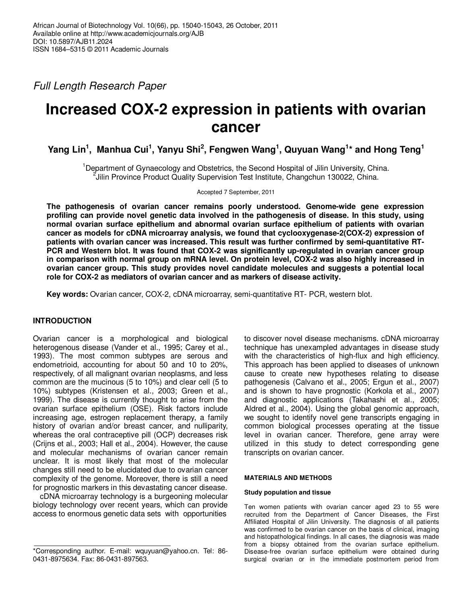Full Length Research Paper

# **Increased COX-2 expression in patients with ovarian cancer**

**Yang Lin<sup>1</sup> , Manhua Cui<sup>1</sup> , Yanyu Shi<sup>2</sup> , Fengwen Wang<sup>1</sup> , Quyuan Wang<sup>1</sup> \* and Hong Teng<sup>1</sup>**

<sup>1</sup>Department of Gynaecology and Obstetrics, the Second Hospital of Jilin University, China. <sup>2</sup> Jilin Province Product Quality Supervision Test Institute, Changchun 130022, China.

Accepted 7 September, 2011

**The pathogenesis of ovarian cancer remains poorly understood. Genome-wide gene expression profiling can provide novel genetic data involved in the pathogenesis of disease. In this study, using normal ovarian surface epithelium and abnormal ovarian surface epithelium of patients with ovarian cancer as models for cDNA microarray analysis, we found that cyclooxygenase-2(COX-2) expression of patients with ovarian cancer was increased. This result was further confirmed by semi-quantitative RT-PCR and Western blot. It was found that COX-2 was significantly up-regulated in ovarian cancer group in comparison with normal group on mRNA level. On protein level, COX-2 was also highly increased in ovarian cancer group. This study provides novel candidate molecules and suggests a potential local role for COX-2 as mediators of ovarian cancer and as markers of disease activity.** 

**Key words:** Ovarian cancer, COX-2, cDNA microarray, semi-quantitative RT- PCR, western blot.

# **INTRODUCTION**

Ovarian cancer is a morphological and biological heterogenous disease (Vander et al., 1995; Carey et al., 1993). The most common subtypes are serous and endometrioid, accounting for about 50 and 10 to 20%, respectively, of all malignant ovarian neoplasms, and less common are the mucinous (5 to 10%) and clear cell (5 to 10%) subtypes (Kristensen et al., 2003; Green et al., 1999). The disease is currently thought to arise from the ovarian surface epithelium (OSE). Risk factors include increasing age, estrogen replacement therapy, a family history of ovarian and/or breast cancer, and nulliparity, whereas the oral contraceptive pill (OCP) decreases risk (Crijns et al., 2003; Hall et al., 2004). However, the cause and molecular mechanisms of ovarian cancer remain unclear. It is most likely that most of the molecular changes still need to be elucidated due to ovarian cancer complexity of the genome. Moreover, there is still a need for prognostic markers in this devastating cancer disease.

cDNA microarray technology is a burgeoning molecular biology technology over recent years, which can provide access to enormous genetic data sets with opportunities

to discover novel disease mechanisms. cDNA microarray technique has unexampled advantages in disease study with the characteristics of high-flux and high efficiency. This approach has been applied to diseases of unknown cause to create new hypotheses relating to disease pathogenesis (Calvano et al., 2005; Ergun et al., 2007) and is shown to have prognostic (Korkola et al., 2007) and diagnostic applications (Takahashi et al., 2005; Aldred et al., 2004). Using the global genomic approach, we sought to identify novel gene transcripts engaging in common biological processes operating at the tissue level in ovarian cancer. Therefore, gene array were utilized in this study to detect corresponding gene transcripts on ovarian cancer.

## **MATERIALS AND METHODS**

#### **Study population and tissue**

Ten women patients with ovarian cancer aged 23 to 55 were recruited from the Department of Cancer Diseases, the First Affiliated Hospital of Jilin University. The diagnosis of all patients was confirmed to be ovarian cancer on the basis of clinical, imaging and histopathological findings. In all cases, the diagnosis was made from a biopsy obtained from the ovarian surface epithelium. Disease-free ovarian surface epithelium were obtained during surgical ovarian or in the immediate postmortem period from

<sup>\*</sup>Corresponding author. E-mail: wquyuan@yahoo.cn. Tel: 86- 0431-8975634. Fax: 86-0431-897563.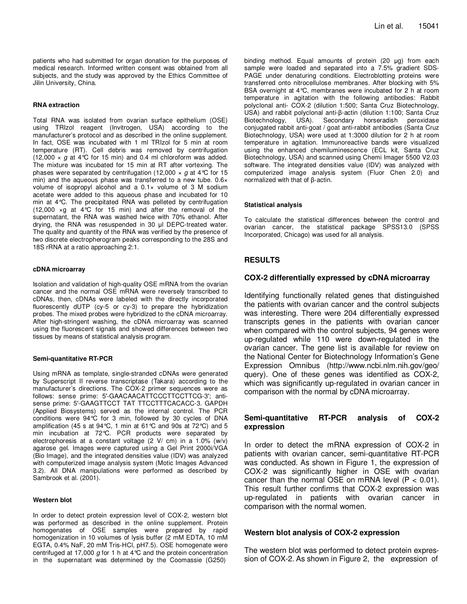patients who had submitted for organ donation for the purposes of medical research. Informed written consent was obtained from all subjects, and the study was approved by the Ethics Committee of Jilin University, China.

#### **RNA extraction**

Total RNA was isolated from ovarian surface epithelium (OSE) using TRIzol reagent (Invitrogen, USA) according to the manufacturer's protocol and as described in the online supplement. In fact, OSE was incubated with 1 ml TRIzol for 5 min at room temperature (RT). Cell debris was removed by centrifugation (12,000  $\times$  g at 4°C for 15 min) and 0.4 ml chloroform was added. The mixture was incubated for 15 min at RT after vortexing. The phases were separated by centrifugation (12,000  $\times$  g at 4 °C for 15 min) and the aqueous phase was transferred to a new tube. 0.6× volume of isopropyl alcohol and a 0.1× volume of 3 M sodium acetate were added to this aqueous phase and incubated for 10 min at 4°C. The precipitated RNA was pelleted by centrifugation (12,000 ×g at 4°C for 15 min) and after the removal of the supernatant, the RNA was washed twice with 70% ethanol. After drying, the RNA was resuspended in 30 µl DEPC-treated water. The quality and quantity of the RNA was verified by the presence of two discrete electropherogram peaks corresponding to the 28S and 18S rRNA at a ratio approaching 2:1.

#### **cDNA microarray**

Isolation and validation of high-quality OSE mRNA from the ovarian cancer and the normal OSE mRNA were reversely transcribed to cDNAs, then, cDNAs were labeled with the directly incorporated fluorescently dUTP (cy-5 or cy-3) to prepare the hybridization probes. The mixed probes were hybridized to the cDNA microarray. After high-stringent washing, the cDNA microarray was scanned using the fluorescent signals and showed differences between two tissues by means of statistical analysis program.

#### **Semi-quantitative RT-PCR**

Using mRNA as template, single-stranded cDNAs were generated by Superscript II reverse transcriptase (Takara) according to the manufacturer's directions. The COX-2 primer sequences were as follows: sense prime: 5′-GAACAACATTCCCTTCCTTCG-3′; antisense prime: 5′-GAAGTTCCT TAT TTCCTTTCACACC-3. GAPDH (Applied Biosystems) served as the internal control. The PCR conditions were 94°C for 3 min, followed by 30 cycles of DNA amplification (45 s at 94°C, 1 min at 61°C and 90s at 72°C) and 5 min incubation at 72°C. PCR products were separated by electrophoresis at a constant voltage (2 V/ cm) in a 1.0% (w/v) agarose gel. Images were captured using a Gel Print 2000i/VGA (Bio Image), and the integrated densities value (IDV) was analyzed with computerized image analysis system (Motic Images Advanced 3.2). All DNA manipulations were performed as described by Sambrook et al. (2001).

#### **Western blot**

In order to detect protein expression level of COX-2, western blot was performed as described in the online supplement. Protein homogenates of OSE samples were prepared by rapid homogenization in 10 volumes of lysis buffer (2 mM EDTA, 10 mM EGTA, 0.4% NaF, 20 mM Tris-HCl, pH7.5). OSE homogenate were centrifuged at 17,000  $g$  for 1 h at 4°C and the protein concentration in the supernatant was determined by the Coomassie (G250)

binding method. Equal amounts of protein (20 µg) from each sample were loaded and separated into a 7.5% gradient SDS-PAGE under denaturing conditions. Electroblotting proteins were transferred onto nitrocellulose membranes. After blocking with 5% BSA overnight at 4°C, membranes were incubated for 2 h at room temperature in agitation with the following antibodies: Rabbit polyclonal anti- COX-2 (dilution 1:500; Santa Cruz Biotechnology, USA) and rabbit polyclonal anti-β-actin (dilution 1:100; Santa Cruz Biotechnology, USA). Secondary horseradish peroxidase conjugated rabbit anti-goat / goat anti-rabbit antibodies (Santa Cruz Biotechnology, USA) were used at 1:3000 dilution for 2 h at room temperature in agitation. Immunoreactive bands were visualized using the enhanced chemiluminescence (ECL kit, Santa Cruz Biotechnology, USA) and scanned using Chemi Imager 5500 V2.03 software. The integrated densities value (IDV) was analyzed with computerized image analysis system (Fluor Chen 2.0) and normalized with that of β-actin.

#### **Statistical analysis**

To calculate the statistical differences between the control and ovarian cancer, the statistical package SPSS13.0 (SPSS Incorporated, Chicago) was used for all analysis.

## **RESULTS**

### **COX-2 differentially expressed by cDNA microarray**

Identifying functionally related genes that distinguished the patients with ovarian cancer and the control subjects was interesting. There were 204 differentially expressed transcripts genes in the patients with ovarian cancer when compared with the control subjects, 94 genes were up-regulated while 110 were down-regulated in the ovarian cancer. The gene list is available for review on the National Center for Biotechnology Information's Gene Expression Omnibus (http://www.ncbi.nlm.nih.gov/geo/ query). One of these genes was identified as COX-2, which was significantly up-regulated in ovarian cancer in comparison with the normal by cDNA microarray.

## **Semi-quantitative RT-PCR analysis of COX-2 expression**

In order to detect the mRNA expression of COX-2 in patients with ovarian cancer, semi-quantitative RT-PCR was conducted. As shown in Figure 1, the expression of COX-2 was significantly higher in OSE with ovarian cancer than the normal OSE on mRNA level  $(P < 0.01)$ . This result further confirms that COX-2 expression was up-regulated in patients with ovarian cancer in comparison with the normal women.

#### **Western blot analysis of COX-2 expression**

The western blot was performed to detect protein expression of COX-2. As shown in Figure 2, the expression of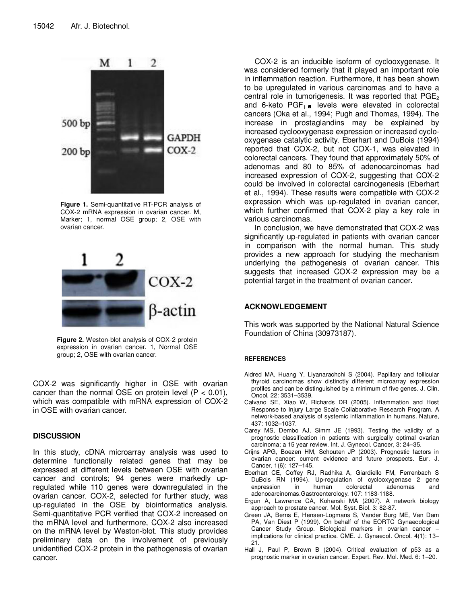

**Figure 1.** Semi-quantitative RT-PCR analysis of COX-2 mRNA expression in ovarian cancer. M, Marker; 1, normal OSE group; 2, OSE with ovarian cancer.



**Figure 2.** Weston-blot analysis of COX-2 protein expression in ovarian cancer. 1, Normal OSE group; 2, OSE with ovarian cancer.

COX-2 was significantly higher in OSE with ovarian cancer than the normal OSE on protein level ( $P < 0.01$ ), which was compatible with mRNA expression of COX-2 in OSE with ovarian cancer.

# **DISCUSSION**

In this study, cDNA microarray analysis was used to determine functionally related genes that may be expressed at different levels between OSE with ovarian cancer and controls; 94 genes were markedly upregulated while 110 genes were downregulated in the ovarian cancer. COX-2, selected for further study, was up-regulated in the OSE by bioinformatics analysis. Semi-quantitative PCR verified that COX-2 increased on the mRNA level and furthermore, COX-2 also increased on the mRNA level by Weston-blot. This study provides preliminary data on the involvement of previously unidentified COX-2 protein in the pathogenesis of ovarian cancer.

COX-2 is an inducible isoform of cyclooxygenase. It was considered formerly that it played an important role in inflammation reaction. Furthermore, it has been shown to be upregulated in various carcinomas and to have a central role in tumorigenesis. It was reported that  $PGE<sub>2</sub>$ and 6-keto  $PGF_{1}$  levels were elevated in colorectal cancers (Oka et al., 1994; Pugh and Thomas, 1994). The increase in prostaglandins may be explained by increased cyclooxygenase expression or increased cyclooxygenase catalytic activity. Eberhart and DuBois (1994) reported that COX-2, but not COX-1, was elevated in colorectal cancers. They found that approximately 50% of adenomas and 80 to 85% of adenocarcinomas had increased expression of COX-2, suggesting that COX-2 could be involved in colorectal carcinogenesis (Eberhart et al., 1994). These results were compatible with COX-2 expression which was up-regulated in ovarian cancer, which further confirmed that COX-2 play a key role in various carcinomas.

In conclusion, we have demonstrated that COX-2 was significantly up-regulated in patients with ovarian cancer in comparison with the normal human. This study provides a new approach for studying the mechanism underlying the pathogenesis of ovarian cancer. This suggests that increased COX-2 expression may be a potential target in the treatment of ovarian cancer.

# **ACKNOWLEDGEMENT**

This work was supported by the National Natural Science Foundation of China (30973187).

# **REFERENCES**

- Aldred MA, Huang Y, Liyanarachchi S (2004). Papillary and follicular thyroid carcinomas show distinctly different microarray expression profiles and can be distinguished by a minimum of five genes. J. Clin. Oncol. 22: 3531–3539.
- Calvano SE, Xiao W, Richards DR (2005). Inflammation and Host Response to Injury Large Scale Collaborative Research Program. A network-based analysis of systemic inflammation in humans. Nature, 437: 1032–1037.
- Carey MS, Dembo AJ, Simm JE (1993). Testing the validity of a prognostic classification in patients with surgically optimal ovarian carcinoma; a 15 year review. Int. J. Gynecol. Cancer, 3: 24–35.
- Crijns APG, Boezen HM, Schouten JP (2003). Prognostic factors in ovarian cancer: current evidence and future prospects. Eur. J. Cancer, 1(6): 127–145.
- Eberhart CE, Coffey RJ, Radhika A, Giardiello FM, Ferrenbach S DuBois RN (1994). Up-regulation of cyclooxygenase 2 gene expression in human colorectal adenomas and adenocarcinomas.Gastroenterology. 107: 1183-1188.
- Ergun A, Lawrence CA, Kohanski MA (2007). A network biology approach to prostate cancer. Mol. Syst. Biol. 3: 82-87.
- Green JA, Berns E, Hensen-Logmans S, Vander Burg ME, Van Dam PA, Van Diest P (1999). On behalf of the EORTC Gynaecological Cancer Study Group. Biological markers in ovarian cancer – implications for clinical practice. CME. J. Gynaecol. Oncol. 4(1): 13– 21.
- Hall J, Paul P, Brown B (2004). Critical evaluation of p53 as a prognostic marker in ovarian cancer. Expert. Rev. Mol. Med. 6: 1–20.